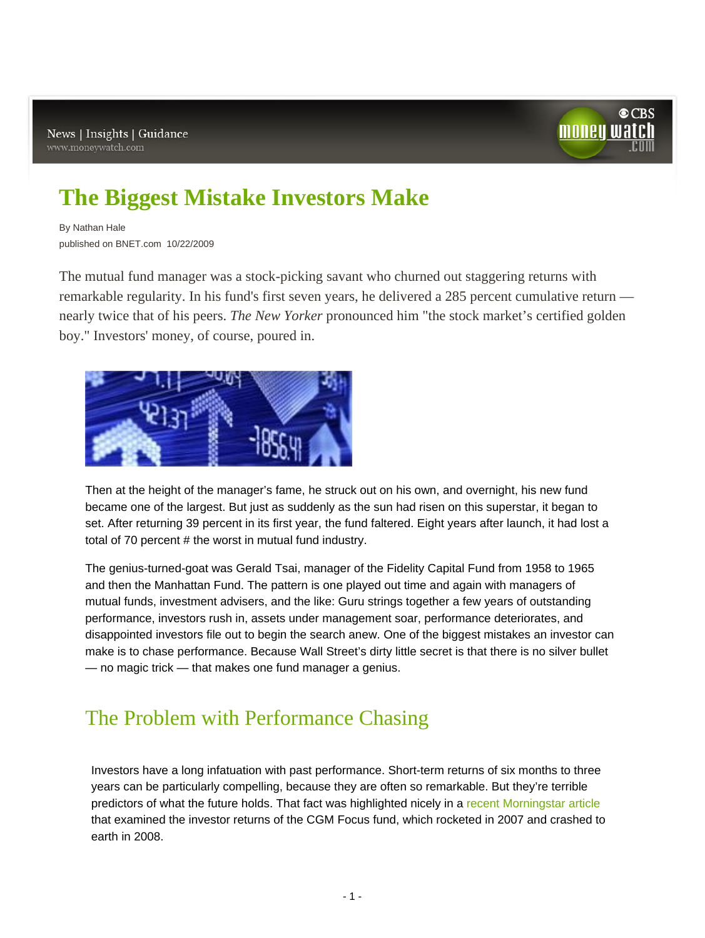

# **[The Biggest Mistake Investors Make](http://moneywatch.bnet.com/investing/article/the-biggest-mistake-investors-make/355397/)**

By Nathan Hale published on BNET.com 10/22/2009

The mutual fund manager was a stock-picking savant who churned out staggering returns with remarkable regularity. In his fund's first seven years, he delivered a 285 percent cumulative return nearly twice that of his peers. *The New Yorker* pronounced him "the stock market's certified golden boy." Investors' money, of course, poured in.



Then at the height of the manager's fame, he struck out on his own, and overnight, his new fund became one of the largest. But just as suddenly as the sun had risen on this superstar, it began to set. After returning 39 percent in its first year, the fund faltered. Eight years after launch, it had lost a total of 70 percent # the worst in mutual fund industry.

The genius-turned-goat was Gerald Tsai, manager of the Fidelity Capital Fund from 1958 to 1965 and then the Manhattan Fund. The pattern is one played out time and again with managers of mutual funds, investment advisers, and the like: Guru strings together a few years of outstanding performance, investors rush in, assets under management soar, performance deteriorates, and disappointed investors file out to begin the search anew. One of the biggest mistakes an investor can make is to chase performance. Because Wall Street's dirty little secret is that there is no silver bullet — no magic trick — that makes one fund manager a genius.

## The Problem with Performance Chasing

Investors have a long infatuation with past performance. Short-term returns of six months to three years can be particularly compelling, because they are often so remarkable. But they're terrible predictors of what the future holds. That fact was highlighted nicely in a [recent Morningstar article](http://news.morningstar.com/articlenet/article.aspx?id=311431) that examined the investor returns of the CGM Focus fund, which rocketed in 2007 and crashed to earth in 2008.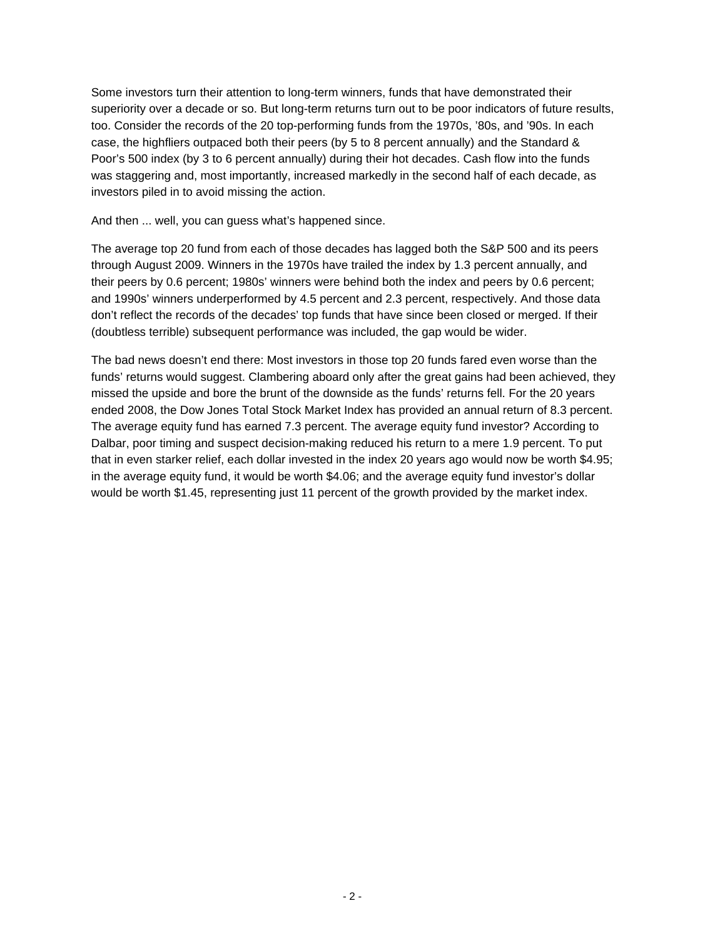Some investors turn their attention to long-term winners, funds that have demonstrated their superiority over a decade or so. But long-term returns turn out to be poor indicators of future results, too. Consider the records of the 20 top-performing funds from the 1970s, '80s, and '90s. In each case, the highfliers outpaced both their peers (by 5 to 8 percent annually) and the Standard & Poor's 500 index (by 3 to 6 percent annually) during their hot decades. Cash flow into the funds was staggering and, most importantly, increased markedly in the second half of each decade, as investors piled in to avoid missing the action.

And then ... well, you can guess what's happened since.

The average top 20 fund from each of those decades has lagged both the S&P 500 and its peers through August 2009. Winners in the 1970s have trailed the index by 1.3 percent annually, and their peers by 0.6 percent; 1980s' winners were behind both the index and peers by 0.6 percent; and 1990s' winners underperformed by 4.5 percent and 2.3 percent, respectively. And those data don't reflect the records of the decades' top funds that have since been closed or merged. If their (doubtless terrible) subsequent performance was included, the gap would be wider.

The bad news doesn't end there: Most investors in those top 20 funds fared even worse than the funds' returns would suggest. Clambering aboard only after the great gains had been achieved, they missed the upside and bore the brunt of the downside as the funds' returns fell. For the 20 years ended 2008, the Dow Jones Total Stock Market Index has provided an annual return of 8.3 percent. The average equity fund has earned 7.3 percent. The average equity fund investor? According to Dalbar, poor timing and suspect decision-making reduced his return to a mere 1.9 percent. To put that in even starker relief, each dollar invested in the index 20 years ago would now be worth \$4.95; in the average equity fund, it would be worth \$4.06; and the average equity fund investor's dollar would be worth \$1.45, representing just 11 percent of the growth provided by the market index.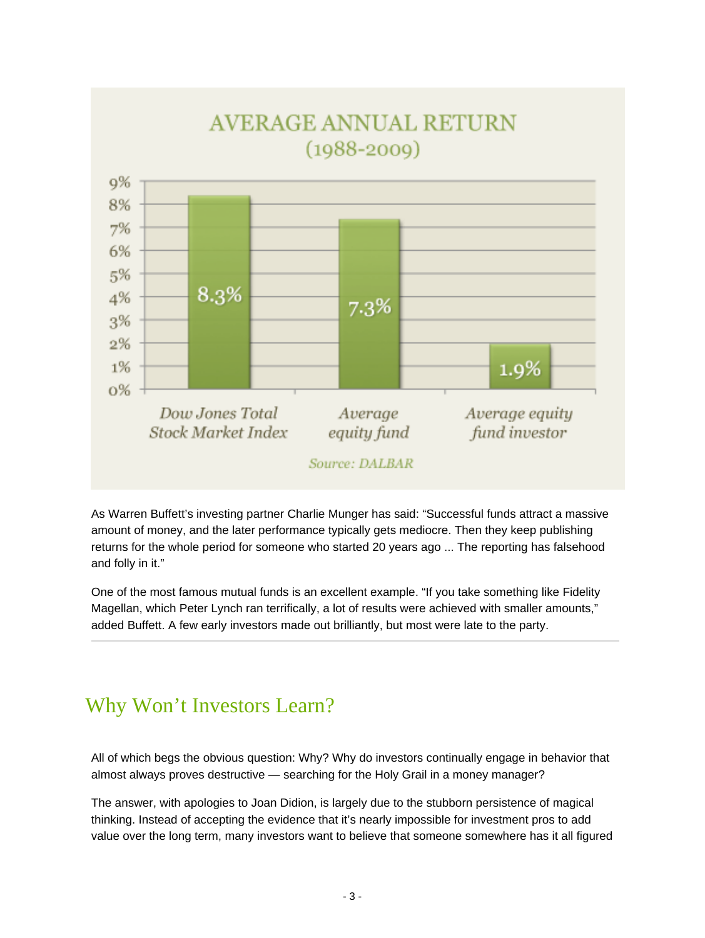

As Warren Buffett's investing partner Charlie Munger has said: "Successful funds attract a massive amount of money, and the later performance typically gets mediocre. Then they keep publishing returns for the whole period for someone who started 20 years ago ... The reporting has falsehood and folly in it."

One of the most famous mutual funds is an excellent example. "If you take something like Fidelity Magellan, which Peter Lynch ran terrifically, a lot of results were achieved with smaller amounts," added Buffett. A few early investors made out brilliantly, but most were late to the party.

## Why Won't Investors Learn?

All of which begs the obvious question: Why? Why do investors continually engage in behavior that almost always proves destructive — searching for the Holy Grail in a money manager?

The answer, with apologies to Joan Didion, is largely due to the stubborn persistence of magical thinking. Instead of accepting the evidence that it's nearly impossible for investment pros to add value over the long term, many investors want to believe that someone somewhere has it all figured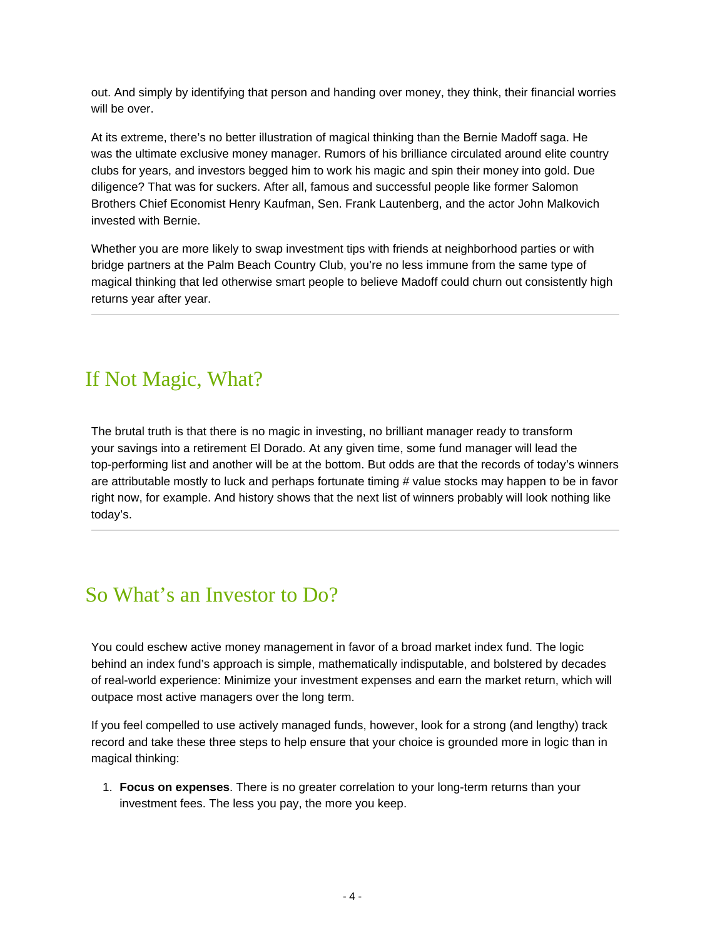out. And simply by identifying that person and handing over money, they think, their financial worries will be over.

At its extreme, there's no better illustration of magical thinking than the Bernie Madoff saga. He was the ultimate exclusive money manager. Rumors of his brilliance circulated around elite country clubs for years, and investors begged him to work his magic and spin their money into gold. Due diligence? That was for suckers. After all, famous and successful people like former Salomon Brothers Chief Economist Henry Kaufman, Sen. Frank Lautenberg, and the actor John Malkovich invested with Bernie.

Whether you are more likely to swap investment tips with friends at neighborhood parties or with bridge partners at the Palm Beach Country Club, you're no less immune from the same type of magical thinking that led otherwise smart people to believe Madoff could churn out consistently high returns year after year.

## If Not Magic, What?

The brutal truth is that there is no magic in investing, no brilliant manager ready to transform your savings into a retirement El Dorado. At any given time, some fund manager will lead the top-performing list and another will be at the bottom. But odds are that the records of today's winners are attributable mostly to luck and perhaps fortunate timing # value stocks may happen to be in favor right now, for example. And history shows that the next list of winners probably will look nothing like today's.

## So What's an Investor to Do?

You could eschew active money management in favor of a broad market index fund. The logic behind an index fund's approach is simple, mathematically indisputable, and bolstered by decades of real-world experience: Minimize your investment expenses and earn the market return, which will outpace most active managers over the long term.

If you feel compelled to use actively managed funds, however, look for a strong (and lengthy) track record and take these three steps to help ensure that your choice is grounded more in logic than in magical thinking:

1. **Focus on expenses**. There is no greater correlation to your long-term returns than your investment fees. The less you pay, the more you keep.